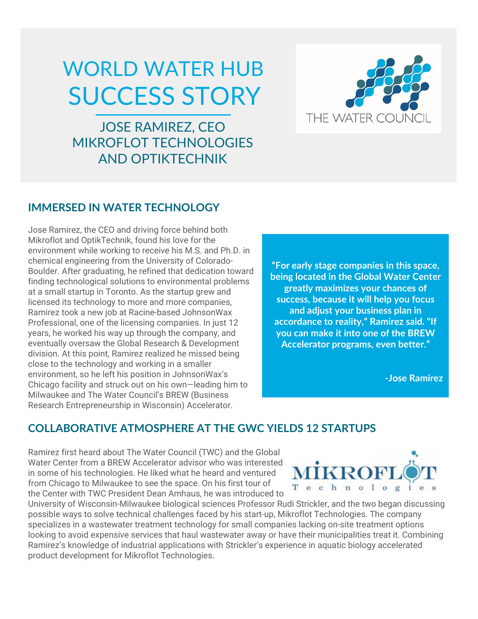## WORLD WATER HUB SUCCESS STORY

JOSE RAMIREZ, CEO MIKROFLOT TECHNOLOGIES AND OPTIKTECHNIK



## **IMMERSED IN WATER TECHNOLOGY**

Jose Ramirez, the CEO and driving force behind both Mikroflot and OptikTechnik, found his love for the environment while working to receive his M.S. and Ph.D. in chemical engineering from the University of Colorado-Boulder. After graduating, he refined that dedication toward finding technological solutions to environmental problems at a small startup in Toronto. As the startup grew and licensed its technology to more and more companies, Ramirez took a new job at Racine-based JohnsonWax Professional, one of the licensing companies. In just 12 years, he worked his way up through the company, and eventually oversaw the Global Research & Development division. At this point, Ramirez realized he missed being close to the technology and working in a smaller environment, so he left his position in JohnsonWax's Chicago facility and struck out on his own—leading him to Milwaukee and The Water Council's BREW (Business Research Entrepreneurship in Wisconsin) Accelerator.

**"For early stage companies in this space, being located in the Global Water Center greatly maximizes your chances of success, because it will help you focus and adjust your business plan in accordance to reality," Ramirez said. "If you can make it into one of the BREW Accelerator programs, even better."**

**-Jose Ramirez**

## **COLLABORATIVE ATMOSPHERE AT THE GWC YIELDS 12 STARTUPS**

Ramirez first heard about The Water Council (TWC) and the Global Water Center from a BREW Accelerator advisor who was interested in some of his technologies. He liked what he heard and ventured from Chicago to Milwaukee to see the space. On his first tour of the Center with TWC President Dean Amhaus, he was introduced to



University of Wisconsin-Milwaukee biological sciences Professor Rudi Strickler, and the two began discussing possible ways to solve technical challenges faced by his start-up, Mikroflot Technologies. The company specializes in a wastewater treatment technology for small companies lacking on-site treatment options looking to avoid expensive services that haul wastewater away or have their municipalities treat it. Combining Ramirez's knowledge of industrial applications with Strickler's experience in aquatic biology accelerated product development for Mikroflot Technologies.